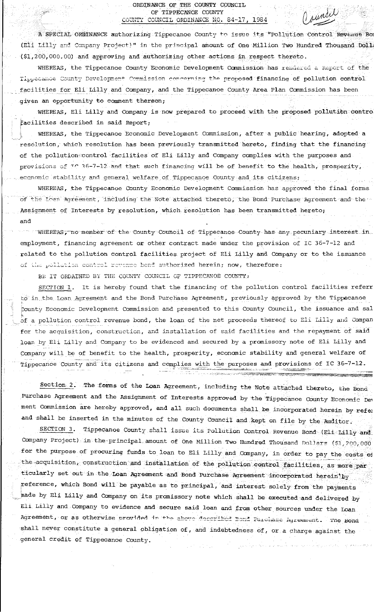## ORDINANCE OF THE COUNTY COUNCIL OF TIPPECANOE COUNTY COUNTY COUNCIL ORDINANCE NO. 84-17, 1984

A SPECIAL ORDINANCE authorizing Tippecanoe County to issue its "Pollution Control Revenue Bo (Eli Lilly and Company Project)" in the principal amount of One Million Two Hundred Thousand Doll (\$1,200,000.00) and approving and authorizing other actions in respect thereto.

WHEREAS, the Tippecanoe County Economic Development Commission has rendered a Report of the Tippecance County Development Commission concerning the proposed financing of pollution control facilities for Eli Lilly and Company, and the Tippecanoe County Area Plan Commission has been given an opportunity to comment thereon;

WHEREAS, Eli Lilly and Company is now prepared to proceed with the proposed pollution contro facilities described in said Report;

WHEREAS, the Tippecanoe Economic Development Commission, after a public hearing, adopted a resolution, which resolution has been previously transmitted hereto, finding that the financing of the pollutions control facilities of Eli Lilly and Company complies with the purposes and provisions of TC 36-7-12 and that such financing will be of benefit to the health, prosperity, economic stability and general welfare of Tippecance County and its citizens;

WHEREAS, the Tippecanoe County Economic Development Commission has approved the final forms of the Loan Agreement, including the Note attached thereto, the Bond Purchase Agreement and the Assignment of Interests by resolution, which resolution has been transmitted hereto; and

WHEREAS, no member of the County Council of Tippecanoe County has any pecuniary interest in employment, financing agreement or other contract made under the provision of IC 36-7-12 and related to the pollution control facilities project of Eli Lilly and Company or to the issuance of the pollation control revenue bond authorized herein; now, therefore:

BE IT ORDAINED BY THE COUNTY COUNCIL OF TIPPECANOE COUNTY:

It is hereby found that the financing of the pollution control facilities referr SECTION 1. to in the Loan Agreement and the Bond Purchase Agreement, previously approved by the Tippecanoe County Economic Development Commission and presented to this County Council, the issuance and sal of a pollution control revenue bond, the loan of the net proceeds thereof to Eli Lilly and Compar for the acquisition, construction, and installation of said facilities and the repayment of said loan by Eli Lilly and Company to be evidenced and secured by a promissory note of Eli Lilly and Company will be of benefit to the health, prosperity, economic stability and general welfare of Tippecance County and its citizens and complies with the purposes and provisions of IC 36-7-12.

Section 2. The forms of the Loan Agreement, including the Note attached thereto, the Bond Purchase Agreement and the Assignment of Interests approved by the Tippecanoe County Economic Dev ment Commission are hereby approved, and all such documents shall be incorporated herein by refer and shall be inserted in the minutes of the County Council and kept on file by the Auditor.

the companies of the companies of the companies of the companies of the companies of the companies of the companies of the companies of the companies of the companies of the companies of the companies of the companies of t

SECTION 3. Tippecanoe County shall issue its Pollution Control Revenue Bond (Eli Lilly and Company Project) in the principal amount of One Million Two Hundred Thousand Dollars (\$1,200,000 for the purpose of procuring funds to loan to Eli Lilly and Company, in order to pay the costs of the acquisition, construction and installation of the pollution control facilities, as more par ticularly set out in the Loan Agreement and Bond Purchase Agreement incorporated herein by reference, which Bond will be payable as to principal, and interest solely from the payments hade by Eli Lilly and Company on its promissory note which shall be executed and delivered by Eli Lilly and Company to evidence and secure said loan and from other sources under the Loan Agreement, or as otherwise provided in the above described Bond Purchase Agreement. The Bond shall never constitute a general obligation of, and indebtedness of, or a charge against the general credit of Tippecanoe County.